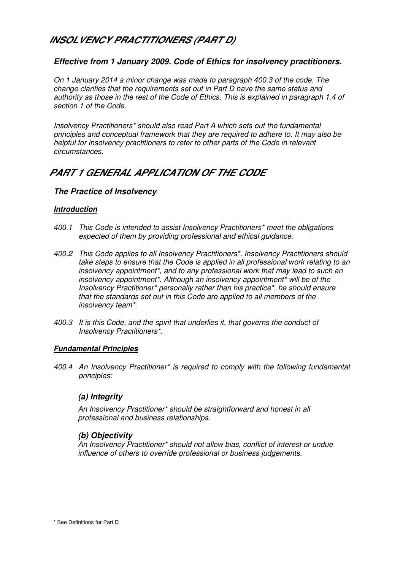# **INSOLVENCY PRACTITIONERS (PART D)**

## **Effective from 1 January 2009. Code of Ethics for insolvency practitioners.**

On 1 January 2014 a minor change was made to paragraph 400.3 of the code. The change clarifies that the requirements set out in Part D have the same status and authority as those in the rest of the Code of Ethics. This is explained in paragraph 1.4 of section 1 of the Code.

Insolvency Practitioners\* should also read Part A which sets out the fundamental principles and conceptual framework that they are required to adhere to. It may also be helpful for insolvency practitioners to refer to other parts of the Code in relevant circumstances.

## **PART 1 GENERAL APPLICATION OF THE CODE**

## **The Practice of Insolvency**

## **Introduction**

- 400.1 This Code is intended to assist Insolvency Practitioners\* meet the obligations expected of them by providing professional and ethical guidance.
- 400.2 This Code applies to all Insolvency Practitioners\*. Insolvency Practitioners should take steps to ensure that the Code is applied in all professional work relating to an insolvency appointment\*, and to any professional work that may lead to such an insolvency appointment\*. Although an insolvency appointment\* will be of the Insolvency Practitioner\* personally rather than his practice\*, he should ensure that the standards set out in this Code are applied to all members of the insolvency team\*.
- 400.3 It is this Code, and the spirit that underlies it, that governs the conduct of Insolvency Practitioners\*.

#### **Fundamental Principles**

400.4 An Insolvency Practitioner\* is required to comply with the following fundamental principles:

## **(a) Integrity**

An Insolvency Practitioner\* should be straightforward and honest in all professional and business relationships.

## **(b) Objectivity**

An Insolvency Practitioner\* should not allow bias, conflict of interest or undue influence of others to override professional or business judgements.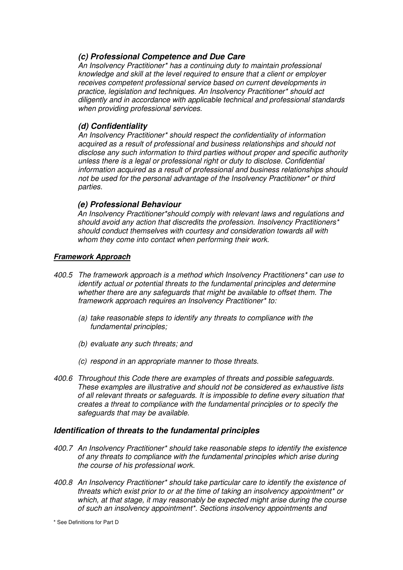## **(c) Professional Competence and Due Care**

An Insolvency Practitioner\* has a continuing duty to maintain professional knowledge and skill at the level required to ensure that a client or employer receives competent professional service based on current developments in practice, legislation and techniques. An Insolvency Practitioner\* should act diligently and in accordance with applicable technical and professional standards when providing professional services.

## **(d) Confidentiality**

An Insolvency Practitioner\* should respect the confidentiality of information acquired as a result of professional and business relationships and should not disclose any such information to third parties without proper and specific authority unless there is a legal or professional right or duty to disclose. Confidential information acquired as a result of professional and business relationships should not be used for the personal advantage of the Insolvency Practitioner\* or third parties.

## **(e) Professional Behaviour**

An Insolvency Practitioner\*should comply with relevant laws and regulations and should avoid any action that discredits the profession. Insolvency Practitioners\* should conduct themselves with courtesy and consideration towards all with whom they come into contact when performing their work.

#### **Framework Approach**

- 400.5 The framework approach is a method which Insolvency Practitioners\* can use to identify actual or potential threats to the fundamental principles and determine whether there are any safeguards that might be available to offset them. The framework approach requires an Insolvency Practitioner\* to:
	- (a) take reasonable steps to identify any threats to compliance with the fundamental principles;
	- (b) evaluate any such threats; and
	- (c) respond in an appropriate manner to those threats.
- 400.6 Throughout this Code there are examples of threats and possible safeguards. These examples are illustrative and should not be considered as exhaustive lists of all relevant threats or safeguards. It is impossible to define every situation that creates a threat to compliance with the fundamental principles or to specify the safeguards that may be available.

#### **Identification of threats to the fundamental principles**

- 400.7 An Insolvency Practitioner\* should take reasonable steps to identify the existence of any threats to compliance with the fundamental principles which arise during the course of his professional work.
- 400.8 An Insolvency Practitioner\* should take particular care to identify the existence of threats which exist prior to or at the time of taking an insolvency appointment\* or which, at that stage, it may reasonably be expected might arise during the course of such an insolvency appointment\*. Sections insolvency appointments and

<sup>\*</sup> See Definitions for Part D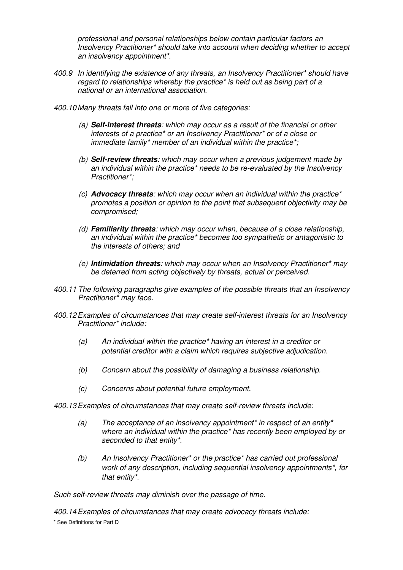professional and personal relationships below contain particular factors an Insolvency Practitioner\* should take into account when deciding whether to accept an insolvency appointment\*.

- 400.9 In identifying the existence of any threats, an Insolvency Practitioner\* should have regard to relationships whereby the practice\* is held out as being part of a national or an international association.
- 400.10 Many threats fall into one or more of five categories:
	- (a) **Self-interest threats**: which may occur as a result of the financial or other interests of a practice\* or an Insolvency Practitioner\* or of a close or immediate family\* member of an individual within the practice\*:
	- (b) **Self-review threats**: which may occur when a previous judgement made by an individual within the practice\* needs to be re-evaluated by the Insolvency Practitioner\*;
	- (c) **Advocacy threats**: which may occur when an individual within the practice\* promotes a position or opinion to the point that subsequent objectivity may be compromised;
	- (d) **Familiarity threats**: which may occur when, because of a close relationship, an individual within the practice\* becomes too sympathetic or antagonistic to the interests of others; and
	- (e) **Intimidation threats**: which may occur when an Insolvency Practitioner\* may be deterred from acting objectively by threats, actual or perceived.
- 400.11 The following paragraphs give examples of the possible threats that an Insolvency Practitioner\* may face.
- 400.12 Examples of circumstances that may create self-interest threats for an Insolvency Practitioner\* include:
	- (a) An individual within the practice\* having an interest in a creditor or potential creditor with a claim which requires subjective adjudication.
	- (b) Concern about the possibility of damaging a business relationship.
	- (c) Concerns about potential future employment.

400.13 Examples of circumstances that may create self-review threats include:

- (a) The acceptance of an insolvency appointment<sup>\*</sup> in respect of an entity<sup>\*</sup> where an individual within the practice\* has recently been employed by or seconded to that entity\*.
- (b) An Insolvency Practitioner\* or the practice\* has carried out professional work of any description, including sequential insolvency appointments\*, for that entity\*.

Such self-review threats may diminish over the passage of time.

\* See Definitions for Part D 400.14 Examples of circumstances that may create advocacy threats include: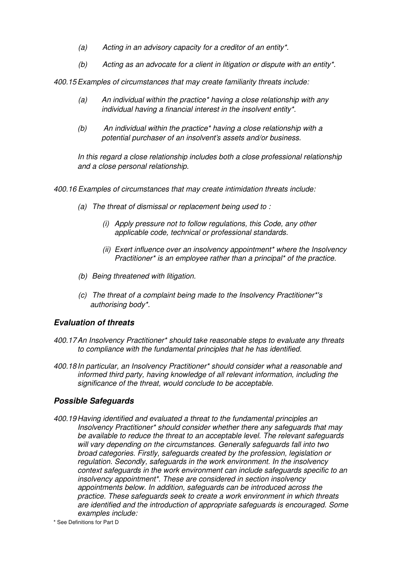- (a) Acting in an advisory capacity for a creditor of an entity\*.
- (b) Acting as an advocate for a client in litigation or dispute with an entity\*.

400.15 Examples of circumstances that may create familiarity threats include:

- (a) An individual within the practice\* having a close relationship with any individual having a financial interest in the insolvent entity\*.
- (b) An individual within the practice\* having a close relationship with a potential purchaser of an insolvent's assets and/or business.

In this regard a close relationship includes both a close professional relationship and a close personal relationship.

400.16 Examples of circumstances that may create intimidation threats include:

- (a) The threat of dismissal or replacement being used to :
	- (i) Apply pressure not to follow regulations, this Code, any other applicable code, technical or professional standards.
	- (ii) Exert influence over an insolvency appointment\* where the Insolvency Practitioner<sup>\*</sup> is an employee rather than a principal<sup>\*</sup> of the practice.
- (b) Being threatened with litigation.
- (c) The threat of a complaint being made to the Insolvency Practitioner\*'s authorising body\*.

## **Evaluation of threats**

- 400.17 An Insolvency Practitioner\* should take reasonable steps to evaluate any threats to compliance with the fundamental principles that he has identified.
- 400.18 In particular, an Insolvency Practitioner\* should consider what a reasonable and informed third party, having knowledge of all relevant information, including the significance of the threat, would conclude to be acceptable.

## **Possible Safeguards**

400.19 Having identified and evaluated a threat to the fundamental principles an Insolvency Practitioner\* should consider whether there any safeguards that may be available to reduce the threat to an acceptable level. The relevant safeguards will vary depending on the circumstances. Generally safeguards fall into two broad categories. Firstly, safeguards created by the profession, legislation or regulation. Secondly, safeguards in the work environment. In the insolvency context safeguards in the work environment can include safeguards specific to an insolvency appointment\*. These are considered in section insolvency appointments below. In addition, safeguards can be introduced across the practice. These safeguards seek to create a work environment in which threats are identified and the introduction of appropriate safeguards is encouraged. Some examples include:

\* See Definitions for Part D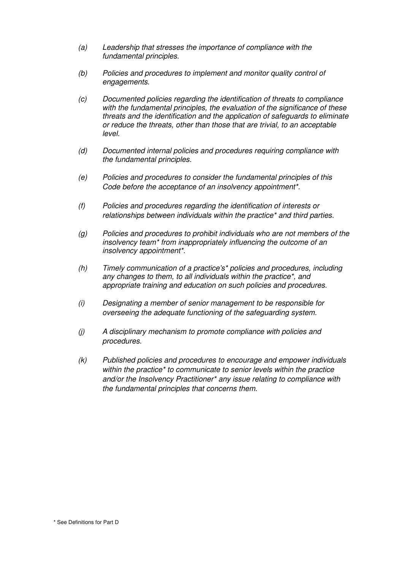- (a) Leadership that stresses the importance of compliance with the fundamental principles.
- (b) Policies and procedures to implement and monitor quality control of engagements.
- (c) Documented policies regarding the identification of threats to compliance with the fundamental principles, the evaluation of the significance of these threats and the identification and the application of safeguards to eliminate or reduce the threats, other than those that are trivial, to an acceptable level.
- (d) Documented internal policies and procedures requiring compliance with the fundamental principles.
- (e) Policies and procedures to consider the fundamental principles of this Code before the acceptance of an insolvency appointment\*.
- (f) Policies and procedures regarding the identification of interests or relationships between individuals within the practice\* and third parties.
- (g) Policies and procedures to prohibit individuals who are not members of the insolvency team\* from inappropriately influencing the outcome of an insolvency appointment\*.
- (h) Timely communication of a practice's\* policies and procedures, including any changes to them, to all individuals within the practice\*, and appropriate training and education on such policies and procedures.
- (i) Designating a member of senior management to be responsible for overseeing the adequate functioning of the safeguarding system.
- (j) A disciplinary mechanism to promote compliance with policies and procedures.
- (k) Published policies and procedures to encourage and empower individuals within the practice\* to communicate to senior levels within the practice and/or the Insolvency Practitioner\* any issue relating to compliance with the fundamental principles that concerns them.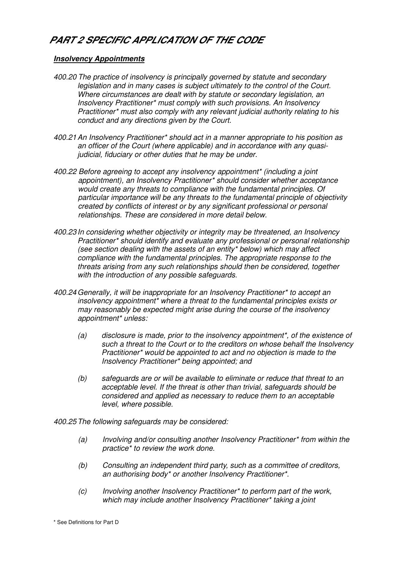# **PART 2 SPECIFIC APPLICATION OF THE CODE**

### **Insolvency Appointments**

- 400.20 The practice of insolvency is principally governed by statute and secondary legislation and in many cases is subject ultimately to the control of the Court. Where circumstances are dealt with by statute or secondary legislation, an Insolvency Practitioner\* must comply with such provisions. An Insolvency Practitioner\* must also comply with any relevant judicial authority relating to his conduct and any directions given by the Court.
- 400.21 An Insolvency Practitioner\* should act in a manner appropriate to his position as an officer of the Court (where applicable) and in accordance with any quasijudicial, fiduciary or other duties that he may be under.
- 400.22 Before agreeing to accept any insolvency appointment\* (including a joint appointment), an Insolvency Practitioner\* should consider whether acceptance would create any threats to compliance with the fundamental principles. Of particular importance will be any threats to the fundamental principle of objectivity created by conflicts of interest or by any significant professional or personal relationships. These are considered in more detail below.
- 400.23 In considering whether objectivity or integrity may be threatened, an Insolvency Practitioner\* should identify and evaluate any professional or personal relationship (see section dealing with the assets of an entity\* below) which may affect compliance with the fundamental principles. The appropriate response to the threats arising from any such relationships should then be considered, together with the introduction of any possible safeguards.
- 400.24 Generally, it will be inappropriate for an Insolvency Practitioner\* to accept an insolvency appointment\* where a threat to the fundamental principles exists or may reasonably be expected might arise during the course of the insolvency appointment\* unless:
	- (a) disclosure is made, prior to the insolvency appointment\*, of the existence of such a threat to the Court or to the creditors on whose behalf the Insolvency Practitioner\* would be appointed to act and no objection is made to the Insolvency Practitioner\* being appointed; and
	- (b) safeguards are or will be available to eliminate or reduce that threat to an acceptable level. If the threat is other than trivial, safeguards should be considered and applied as necessary to reduce them to an acceptable level, where possible.

400.25 The following safeguards may be considered:

- (a) Involving and/or consulting another Insolvency Practitioner\* from within the practice\* to review the work done.
- (b) Consulting an independent third party, such as a committee of creditors, an authorising body\* or another Insolvency Practitioner\*.
- (c) Involving another Insolvency Practitioner\* to perform part of the work, which may include another Insolvency Practitioner\* taking a joint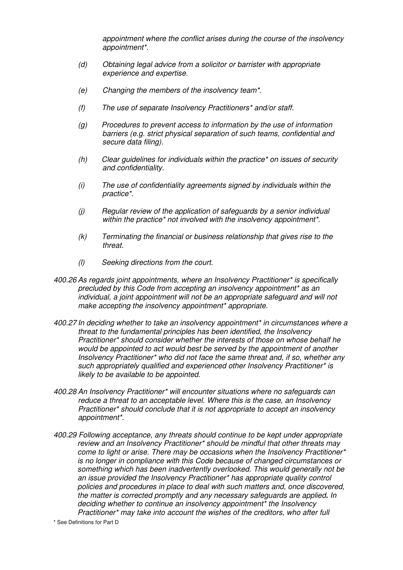appointment where the conflict arises during the course of the insolvency appointment\*.

- (d) Obtaining legal advice from a solicitor or barrister with appropriate experience and expertise.
- (e) Changing the members of the insolvency team\*.
- (f) The use of separate Insolvency Practitioners\* and/or staff.
- (g) Procedures to prevent access to information by the use of information barriers (e.g. strict physical separation of such teams, confidential and secure data filing).
- (h) Clear guidelines for individuals within the practice\* on issues of security and confidentiality.
- (i) The use of confidentiality agreements signed by individuals within the practice\*.
- (j) Regular review of the application of safeguards by a senior individual within the practice<sup>\*</sup> not involved with the insolvency appointment<sup>\*</sup>.
- (k) Terminating the financial or business relationship that gives rise to the threat.
- (l) Seeking directions from the court.
- 400.26 As regards joint appointments, where an Insolvency Practitioner\* is specifically precluded by this Code from accepting an insolvency appointment\* as an individual, a joint appointment will not be an appropriate safeguard and will not make accepting the insolvency appointment\* appropriate.
- 400.27 In deciding whether to take an insolvency appointment\* in circumstances where a threat to the fundamental principles has been identified, the Insolvency Practitioner\* should consider whether the interests of those on whose behalf he would be appointed to act would best be served by the appointment of another Insolvency Practitioner\* who did not face the same threat and, if so, whether any such appropriately qualified and experienced other Insolvency Practitioner\* is likely to be available to be appointed.
- 400.28 An Insolvency Practitioner\* will encounter situations where no safeguards can reduce a threat to an acceptable level. Where this is the case, an Insolvency Practitioner\* should conclude that it is not appropriate to accept an insolvency appointment\*.
- 400.29 Following acceptance, any threats should continue to be kept under appropriate review and an Insolvency Practitioner\* should be mindful that other threats may come to light or arise. There may be occasions when the Insolvency Practitioner\* is no longer in compliance with this Code because of changed circumstances or something which has been inadvertently overlooked. This would generally not be an issue provided the Insolvency Practitioner\* has appropriate quality control policies and procedures in place to deal with such matters and, once discovered, the matter is corrected promptly and any necessary safeguards are applied**.** In deciding whether to continue an insolvency appointment\* the Insolvency Practitioner\* may take into account the wishes of the creditors, who after full

<sup>\*</sup> See Definitions for Part D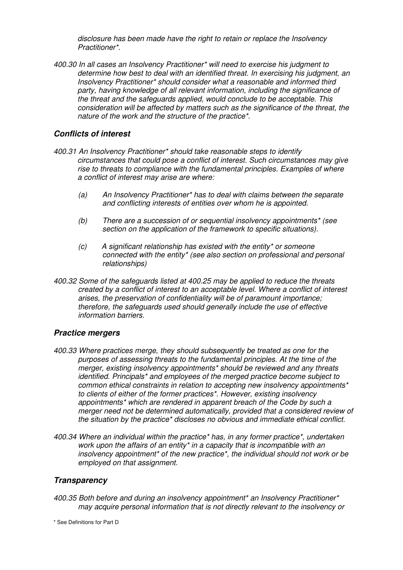disclosure has been made have the right to retain or replace the Insolvency Practitioner\*.

400.30 In all cases an Insolvency Practitioner\* will need to exercise his judgment to determine how best to deal with an identified threat. In exercising his judgment, an Insolvency Practitioner\* should consider what a reasonable and informed third party, having knowledge of all relevant information, including the significance of the threat and the safeguards applied, would conclude to be acceptable. This consideration will be affected by matters such as the significance of the threat, the nature of the work and the structure of the practice\*.

## **Conflicts of interest**

- 400.31 An Insolvency Practitioner\* should take reasonable steps to identify circumstances that could pose a conflict of interest. Such circumstances may give rise to threats to compliance with the fundamental principles. Examples of where a conflict of interest may arise are where:
	- (a) An Insolvency Practitioner\* has to deal with claims between the separate and conflicting interests of entities over whom he is appointed.
	- (b) There are a succession of or sequential insolvency appointments\* (see section on the application of the framework to specific situations).
	- (c) A significant relationship has existed with the entity\* or someone connected with the entity\* (see also section on professional and personal relationships)
- 400.32 Some of the safeguards listed at 400.25 may be applied to reduce the threats created by a conflict of interest to an acceptable level. Where a conflict of interest arises, the preservation of confidentiality will be of paramount importance; therefore, the safeguards used should generally include the use of effective information barriers.

## **Practice mergers**

- 400.33 Where practices merge, they should subsequently be treated as one for the purposes of assessing threats to the fundamental principles. At the time of the merger, existing insolvency appointments\* should be reviewed and any threats identified. Principals\* and employees of the merged practice become subject to common ethical constraints in relation to accepting new insolvency appointments\* to clients of either of the former practices\*. However, existing insolvency appointments\* which are rendered in apparent breach of the Code by such a merger need not be determined automatically, provided that a considered review of the situation by the practice\* discloses no obvious and immediate ethical conflict.
- 400.34 Where an individual within the practice\* has, in any former practice\*, undertaken work upon the affairs of an entity\* in a capacity that is incompatible with an insolvency appointment\* of the new practice\*, the individual should not work or be employed on that assignment.

## **Transparency**

400.35 Both before and during an insolvency appointment\* an Insolvency Practitioner\* may acquire personal information that is not directly relevant to the insolvency or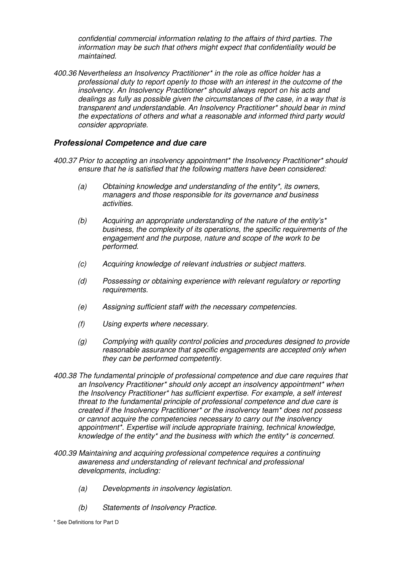confidential commercial information relating to the affairs of third parties. The information may be such that others might expect that confidentiality would be maintained.

400.36 Nevertheless an Insolvency Practitioner\* in the role as office holder has a professional duty to report openly to those with an interest in the outcome of the insolvency. An Insolvency Practitioner\* should always report on his acts and dealings as fully as possible given the circumstances of the case, in a way that is transparent and understandable. An Insolvency Practitioner\* should bear in mind the expectations of others and what a reasonable and informed third party would consider appropriate.

## **Professional Competence and due care**

- 400.37 Prior to accepting an insolvency appointment\* the Insolvency Practitioner\* should ensure that he is satisfied that the following matters have been considered:
	- (a) Obtaining knowledge and understanding of the entity\*, its owners, managers and those responsible for its governance and business activities.
	- (b) Acquiring an appropriate understanding of the nature of the entity's\* business, the complexity of its operations, the specific requirements of the engagement and the purpose, nature and scope of the work to be performed.
	- (c) Acquiring knowledge of relevant industries or subject matters.
	- (d) Possessing or obtaining experience with relevant regulatory or reporting requirements.
	- (e) Assigning sufficient staff with the necessary competencies.
	- (f) Using experts where necessary.
	- (g) Complying with quality control policies and procedures designed to provide reasonable assurance that specific engagements are accepted only when they can be performed competently.
- 400.38 The fundamental principle of professional competence and due care requires that an Insolvency Practitioner\* should only accept an insolvency appointment\* when the Insolvency Practitioner\* has sufficient expertise. For example, a self interest threat to the fundamental principle of professional competence and due care is created if the Insolvency Practitioner\* or the insolvency team\* does not possess or cannot acquire the competencies necessary to carry out the insolvency appointment\*. Expertise will include appropriate training, technical knowledge, knowledge of the entity\* and the business with which the entity\* is concerned.
- 400.39 Maintaining and acquiring professional competence requires a continuing awareness and understanding of relevant technical and professional developments, including:
	- (a) Developments in insolvency legislation.
	- (b) Statements of Insolvency Practice.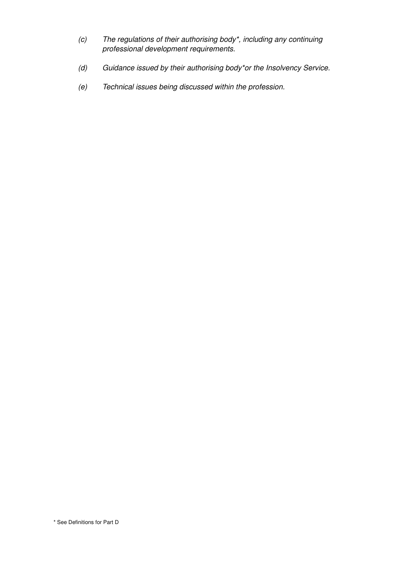- (c) The regulations of their authorising body\*, including any continuing professional development requirements.
- (d) Guidance issued by their authorising body\*or the Insolvency Service.
- (e) Technical issues being discussed within the profession.

\* See Definitions for Part D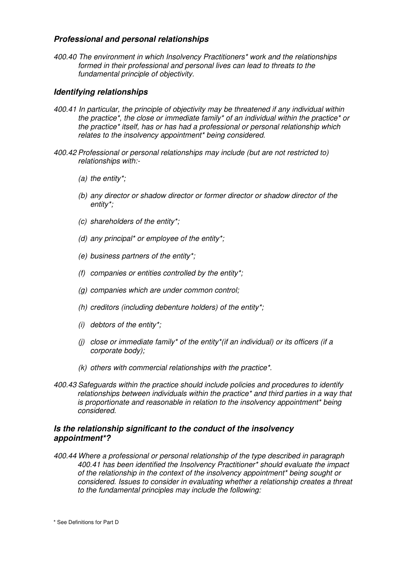## **Professional and personal relationships**

400.40 The environment in which Insolvency Practitioners\* work and the relationships formed in their professional and personal lives can lead to threats to the fundamental principle of objectivity.

## **Identifying relationships**

- 400.41 In particular, the principle of objectivity may be threatened if any individual within the practice\*, the close or immediate family\* of an individual within the practice\* or the practice\* itself, has or has had a professional or personal relationship which relates to the insolvency appointment\* being considered.
- 400.42 Professional or personal relationships may include (but are not restricted to) relationships with:-
	- (a) the entity\*;
	- (b) any director or shadow director or former director or shadow director of the entity\*;
	- (c) shareholders of the entity\*;
	- (d) any principal\* or employee of the entity\*;
	- (e) business partners of the entity\*;
	- (f) companies or entities controlled by the entity\*;
	- (g) companies which are under common control;
	- (h) creditors (including debenture holders) of the entity\*;
	- (i) debtors of the entity\*;
	- (i) close or immediate family\* of the entity\*(if an individual) or its officers (if a corporate body);
	- (k) others with commercial relationships with the practice\*.
- 400.43 Safeguards within the practice should include policies and procedures to identify relationships between individuals within the practice\* and third parties in a way that is proportionate and reasonable in relation to the insolvency appointment\* being considered.

## **Is the relationship significant to the conduct of the insolvency appointment\*?**

400.44 Where a professional or personal relationship of the type described in paragraph 400.41 has been identified the Insolvency Practitioner\* should evaluate the impact of the relationship in the context of the insolvency appointment\* being sought or considered. Issues to consider in evaluating whether a relationship creates a threat to the fundamental principles may include the following: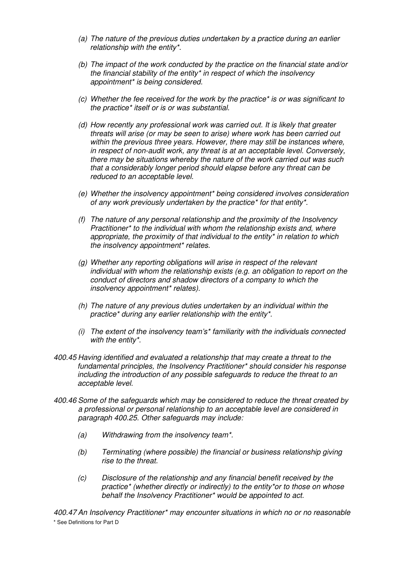- (a) The nature of the previous duties undertaken by a practice during an earlier relationship with the entity\*.
- (b) The impact of the work conducted by the practice on the financial state and/or the financial stability of the entity\* in respect of which the insolvency appointment\* is being considered.
- (c) Whether the fee received for the work by the practice\* is or was significant to the practice\* itself or is or was substantial.
- (d) How recently any professional work was carried out. It is likely that greater threats will arise (or may be seen to arise) where work has been carried out within the previous three years. However, there may still be instances where, in respect of non-audit work, any threat is at an acceptable level. Conversely, there may be situations whereby the nature of the work carried out was such that a considerably longer period should elapse before any threat can be reduced to an acceptable level.
- (e) Whether the insolvency appointment\* being considered involves consideration of any work previously undertaken by the practice\* for that entity\*.
- (f) The nature of any personal relationship and the proximity of the Insolvency Practitioner\* to the individual with whom the relationship exists and, where appropriate, the proximity of that individual to the entity\* in relation to which the insolvency appointment\* relates.
- (g) Whether any reporting obligations will arise in respect of the relevant individual with whom the relationship exists (e.g. an obligation to report on the conduct of directors and shadow directors of a company to which the insolvency appointment\* relates).
- (h) The nature of any previous duties undertaken by an individual within the practice\* during any earlier relationship with the entity\*.
- (i) The extent of the insolvency team's\* familiarity with the individuals connected with the entity\*.
- 400.45 Having identified and evaluated a relationship that may create a threat to the fundamental principles, the Insolvency Practitioner\* should consider his response including the introduction of any possible safeguards to reduce the threat to an acceptable level.
- 400.46 Some of the safeguards which may be considered to reduce the threat created by a professional or personal relationship to an acceptable level are considered in paragraph 400.25. Other safeguards may include:
	- (a) Withdrawing from the insolvency team\*.
	- (b) Terminating (where possible) the financial or business relationship giving rise to the threat.
	- (c) Disclosure of the relationship and any financial benefit received by the practice\* (whether directly or indirectly) to the entity\*or to those on whose behalf the Insolvency Practitioner\* would be appointed to act.

\* See Definitions for Part D 400.47 An Insolvency Practitioner\* may encounter situations in which no or no reasonable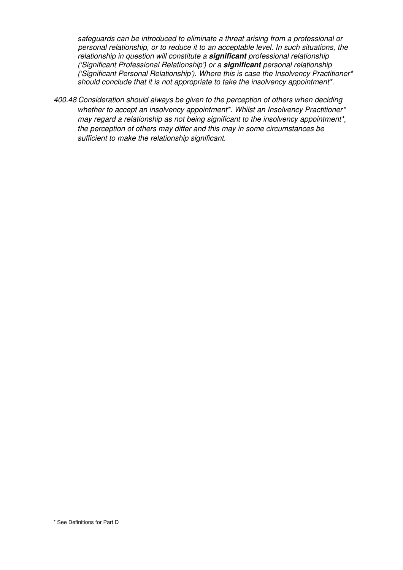safeguards can be introduced to eliminate a threat arising from a professional or personal relationship, or to reduce it to an acceptable level. In such situations, the relationship in question will constitute a **significant** professional relationship ('Significant Professional Relationship') or a **significant** personal relationship ('Significant Personal Relationship'). Where this is case the Insolvency Practitioner\* should conclude that it is not appropriate to take the insolvency appointment\*.

400.48 Consideration should always be given to the perception of others when deciding whether to accept an insolvency appointment\*. Whilst an Insolvency Practitioner\* may regard a relationship as not being significant to the insolvency appointment\*, the perception of others may differ and this may in some circumstances be sufficient to make the relationship significant.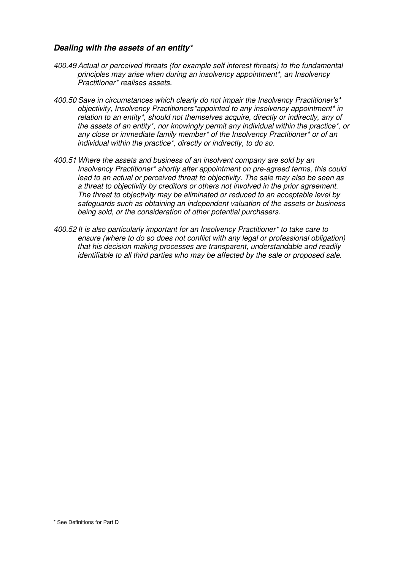## **Dealing with the assets of an entity\***

- 400.49 Actual or perceived threats (for example self interest threats) to the fundamental principles may arise when during an insolvency appointment\*, an Insolvency Practitioner\* realises assets.
- 400.50 Save in circumstances which clearly do not impair the Insolvency Practitioner's\* objectivity, Insolvency Practitioners\*appointed to any insolvency appointment\* in relation to an entity\*, should not themselves acquire, directly or indirectly, any of the assets of an entity\*, nor knowingly permit any individual within the practice\*, or any close or immediate family member\* of the Insolvency Practitioner\* or of an individual within the practice\*, directly or indirectly, to do so.
- 400.51 Where the assets and business of an insolvent company are sold by an Insolvency Practitioner\* shortly after appointment on pre-agreed terms, this could lead to an actual or perceived threat to objectivity. The sale may also be seen as a threat to objectivity by creditors or others not involved in the prior agreement. The threat to objectivity may be eliminated or reduced to an acceptable level by safeguards such as obtaining an independent valuation of the assets or business being sold, or the consideration of other potential purchasers.
- 400.52 It is also particularly important for an Insolvency Practitioner\* to take care to ensure (where to do so does not conflict with any legal or professional obligation) that his decision making processes are transparent, understandable and readily identifiable to all third parties who may be affected by the sale or proposed sale.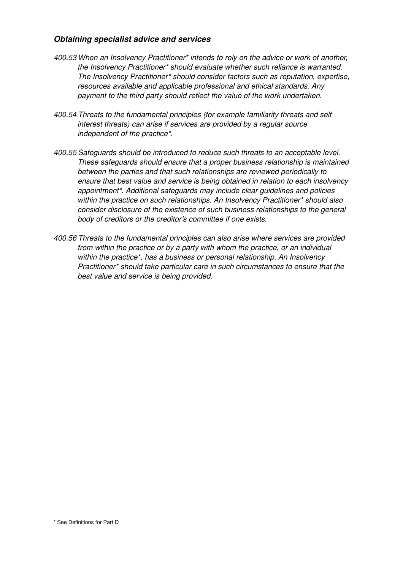## **Obtaining specialist advice and services**

- 400.53 When an Insolvency Practitioner\* intends to rely on the advice or work of another, the Insolvency Practitioner\* should evaluate whether such reliance is warranted. The Insolvency Practitioner\* should consider factors such as reputation, expertise, resources available and applicable professional and ethical standards. Any payment to the third party should reflect the value of the work undertaken.
- 400.54 Threats to the fundamental principles (for example familiarity threats and self interest threats) can arise if services are provided by a regular source independent of the practice\*.
- 400.55 Safeguards should be introduced to reduce such threats to an acceptable level. These safeguards should ensure that a proper business relationship is maintained between the parties and that such relationships are reviewed periodically to ensure that best value and service is being obtained in relation to each insolvency appointment\*. Additional safeguards may include clear guidelines and policies within the practice on such relationships. An Insolvency Practitioner\* should also consider disclosure of the existence of such business relationships to the general body of creditors or the creditor's committee if one exists.
- 400.56 Threats to the fundamental principles can also arise where services are provided from within the practice or by a party with whom the practice, or an individual within the practice<sup>\*</sup>, has a business or personal relationship. An Insolvency Practitioner\* should take particular care in such circumstances to ensure that the best value and service is being provided.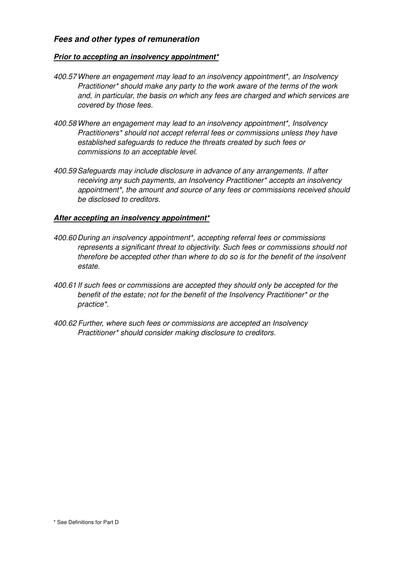## **Fees and other types of remuneration**

#### **Prior to accepting an insolvency appointment\***

- 400.57 Where an engagement may lead to an insolvency appointment\*, an Insolvency Practitioner\* should make any party to the work aware of the terms of the work and, in particular, the basis on which any fees are charged and which services are covered by those fees.
- 400.58 Where an engagement may lead to an insolvency appointment\*, Insolvency Practitioners\* should not accept referral fees or commissions unless they have established safeguards to reduce the threats created by such fees or commissions to an acceptable level.
- 400.59 Safeguards may include disclosure in advance of any arrangements. If after receiving any such payments, an Insolvency Practitioner\* accepts an insolvency appointment\*, the amount and source of any fees or commissions received should be disclosed to creditors.

#### **After accepting an insolvency appointment\***

- 400.60 During an insolvency appointment\*, accepting referral fees or commissions represents a significant threat to objectivity. Such fees or commissions should not therefore be accepted other than where to do so is for the benefit of the insolvent estate.
- 400.61 If such fees or commissions are accepted they should only be accepted for the benefit of the estate; not for the benefit of the Insolvency Practitioner\* or the practice\*.
- 400.62 Further, where such fees or commissions are accepted an Insolvency Practitioner\* should consider making disclosure to creditors.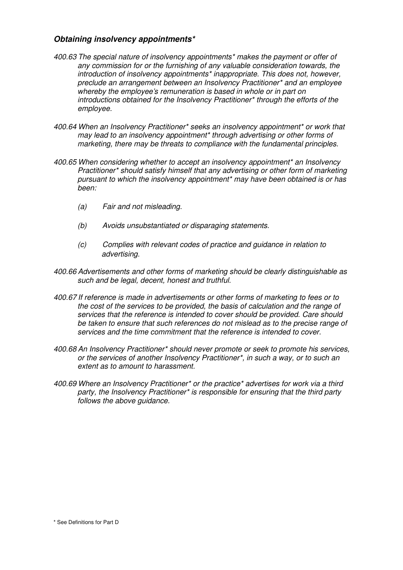## **Obtaining insolvency appointments\***

- 400.63 The special nature of insolvency appointments\* makes the payment or offer of any commission for or the furnishing of any valuable consideration towards, the introduction of insolvency appointments\* inappropriate. This does not, however, preclude an arrangement between an Insolvency Practitioner\* and an employee whereby the employee's remuneration is based in whole or in part on introductions obtained for the Insolvency Practitioner\* through the efforts of the employee.
- 400.64 When an Insolvency Practitioner\* seeks an insolvency appointment\* or work that may lead to an insolvency appointment\* through advertising or other forms of marketing, there may be threats to compliance with the fundamental principles.
- 400.65 When considering whether to accept an insolvency appointment\* an Insolvency Practitioner\* should satisfy himself that any advertising or other form of marketing pursuant to which the insolvency appointment\* may have been obtained is or has been:
	- (a) Fair and not misleading.
	- (b) Avoids unsubstantiated or disparaging statements.
	- (c) Complies with relevant codes of practice and guidance in relation to advertising.
- 400.66 Advertisements and other forms of marketing should be clearly distinguishable as such and be legal, decent, honest and truthful.
- 400.67 If reference is made in advertisements or other forms of marketing to fees or to the cost of the services to be provided, the basis of calculation and the range of services that the reference is intended to cover should be provided. Care should be taken to ensure that such references do not mislead as to the precise range of services and the time commitment that the reference is intended to cover.
- 400.68 An Insolvency Practitioner\* should never promote or seek to promote his services, or the services of another Insolvency Practitioner\*, in such a way, or to such an extent as to amount to harassment.
- 400.69 Where an Insolvency Practitioner\* or the practice\* advertises for work via a third party, the Insolvency Practitioner\* is responsible for ensuring that the third party follows the above guidance.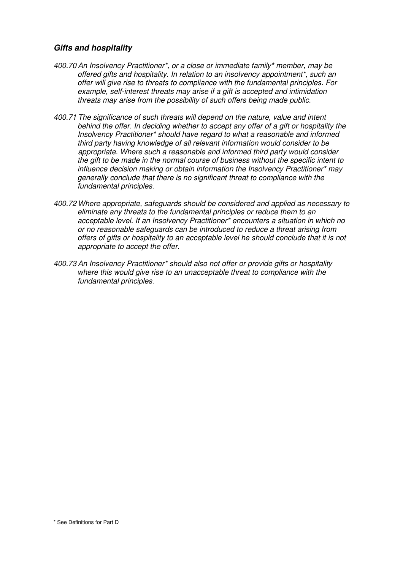## **Gifts and hospitality**

- 400.70 An Insolvency Practitioner\*, or a close or immediate family\* member, may be offered gifts and hospitality. In relation to an insolvency appointment\*, such an offer will give rise to threats to compliance with the fundamental principles. For example, self-interest threats may arise if a gift is accepted and intimidation threats may arise from the possibility of such offers being made public.
- 400.71 The significance of such threats will depend on the nature, value and intent behind the offer. In deciding whether to accept any offer of a gift or hospitality the Insolvency Practitioner\* should have regard to what a reasonable and informed third party having knowledge of all relevant information would consider to be appropriate. Where such a reasonable and informed third party would consider the gift to be made in the normal course of business without the specific intent to influence decision making or obtain information the Insolvency Practitioner\* may generally conclude that there is no significant threat to compliance with the fundamental principles.
- 400.72 Where appropriate, safeguards should be considered and applied as necessary to eliminate any threats to the fundamental principles or reduce them to an acceptable level. If an Insolvency Practitioner\* encounters a situation in which no or no reasonable safeguards can be introduced to reduce a threat arising from offers of gifts or hospitality to an acceptable level he should conclude that it is not appropriate to accept the offer.
- 400.73 An Insolvency Practitioner\* should also not offer or provide gifts or hospitality where this would give rise to an unacceptable threat to compliance with the fundamental principles.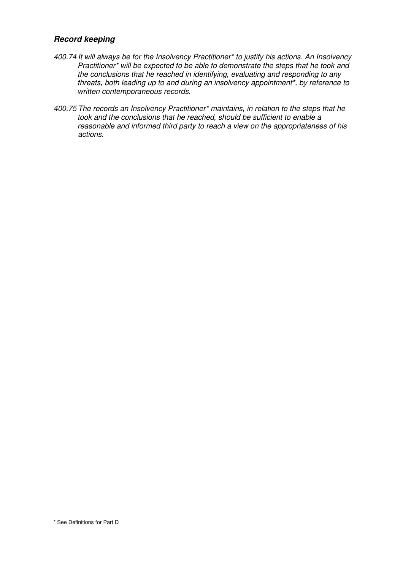## **Record keeping**

- 400.74 It will always be for the Insolvency Practitioner\* to justify his actions. An Insolvency Practitioner\* will be expected to be able to demonstrate the steps that he took and the conclusions that he reached in identifying, evaluating and responding to any threats, both leading up to and during an insolvency appointment\*, by reference to written contemporaneous records.
- 400.75 The records an Insolvency Practitioner\* maintains, in relation to the steps that he took and the conclusions that he reached, should be sufficient to enable a reasonable and informed third party to reach a view on the appropriateness of his actions.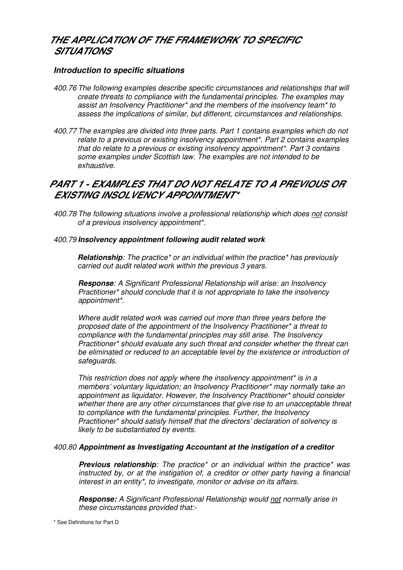## **THE APPLICATION OF THE FRAMEWORK TO SPECIFIC SITUATIONS**

## **Introduction to specific situations**

- 400.76 The following examples describe specific circumstances and relationships that will create threats to compliance with the fundamental principles. The examples may assist an Insolvency Practitioner\* and the members of the insolvency team\* to assess the implications of similar, but different, circumstances and relationships.
- 400.77 The examples are divided into three parts. Part 1 contains examples which do not relate to a previous or existing insolvency appointment\*. Part 2 contains examples that do relate to a previous or existing insolvency appointment\*. Part 3 contains some examples under Scottish law. The examples are not intended to be exhaustive.

## **PART 1 - EXAMPLES THAT DO NOT RELATE TO A PREVIOUS OR EXISTING INSOLVENCY APPOINTMENT\***

400.78 The following situations involve a professional relationship which does not consist of a previous insolvency appointment\*.

#### 400.79 **Insolvency appointment following audit related work**

**Relationship**: The practice<sup>\*</sup> or an individual within the practice<sup>\*</sup> has previously carried out audit related work within the previous 3 years.

**Response**: A Significant Professional Relationship will arise: an Insolvency Practitioner\* should conclude that it is not appropriate to take the insolvency appointment\*.

Where audit related work was carried out more than three years before the proposed date of the appointment of the Insolvency Practitioner\* a threat to compliance with the fundamental principles may still arise. The Insolvency Practitioner\* should evaluate any such threat and consider whether the threat can be eliminated or reduced to an acceptable level by the existence or introduction of safeguards.

This restriction does not apply where the insolvency appointment\* is in a members' voluntary liquidation; an Insolvency Practitioner\* may normally take an appointment as liquidator. However, the Insolvency Practitioner\* should consider whether there are any other circumstances that give rise to an unacceptable threat to compliance with the fundamental principles. Further, the Insolvency Practitioner\* should satisfy himself that the directors' declaration of solvency is likely to be substantiated by events.

## 400.80 **Appointment as Investigating Accountant at the instigation of a creditor**

**Previous relationship**: The practice<sup>\*</sup> or an individual within the practice<sup>\*</sup> was instructed by, or at the instigation of, a creditor or other party having a financial interest in an entity\*, to investigate, monitor or advise on its affairs.

**Response:** A Significant Professional Relationship would not normally arise in these circumstances provided that:-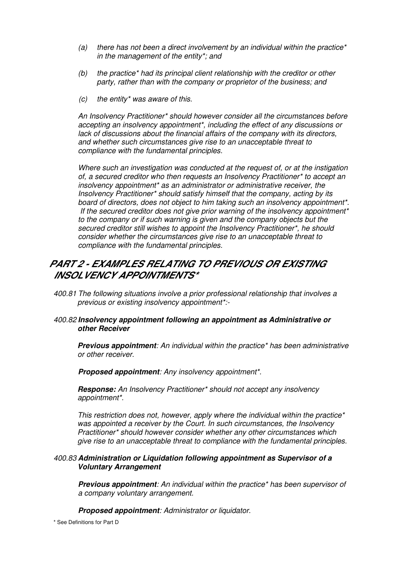- (a) there has not been a direct involvement by an individual within the practice\* in the management of the entity\*; and
- (b) the practice\* had its principal client relationship with the creditor or other party, rather than with the company or proprietor of the business; and
- $(c)$  the entity\* was aware of this.

An Insolvency Practitioner\* should however consider all the circumstances before accepting an insolvency appointment\*, including the effect of any discussions or lack of discussions about the financial affairs of the company with its directors, and whether such circumstances give rise to an unacceptable threat to compliance with the fundamental principles.

Where such an investigation was conducted at the request of, or at the instigation of, a secured creditor who then requests an Insolvency Practitioner\* to accept an insolvency appointment\* as an administrator or administrative receiver, the Insolvency Practitioner\* should satisfy himself that the company, acting by its board of directors, does not object to him taking such an insolvency appointment\*. If the secured creditor does not give prior warning of the insolvency appointment\* to the company or if such warning is given and the company objects but the secured creditor still wishes to appoint the Insolvency Practitioner\*, he should consider whether the circumstances give rise to an unacceptable threat to compliance with the fundamental principles.

## **PART 2 - EXAMPLES RELATING TO PREVIOUS OR EXISTING INSOLVENCY APPOINTMENTS\***

400.81 The following situations involve a prior professional relationship that involves a previous or existing insolvency appointment\*:-

#### 400.82 **Insolvency appointment following an appointment as Administrative or other Receiver**

**Previous appointment**: An individual within the practice\* has been administrative or other receiver.

**Proposed appointment**: Any insolvency appointment\*.

**Response:** An Insolvency Practitioner\* should not accept any insolvency appointment\*.

This restriction does not, however, apply where the individual within the practice\* was appointed a receiver by the Court. In such circumstances, the Insolvency Practitioner\* should however consider whether any other circumstances which give rise to an unacceptable threat to compliance with the fundamental principles.

## 400.83 **Administration or Liquidation following appointment as Supervisor of a Voluntary Arrangement**

**Previous appointment:** An individual within the practice\* has been supervisor of a company voluntary arrangement.

**Proposed appointment:** Administrator or liquidator.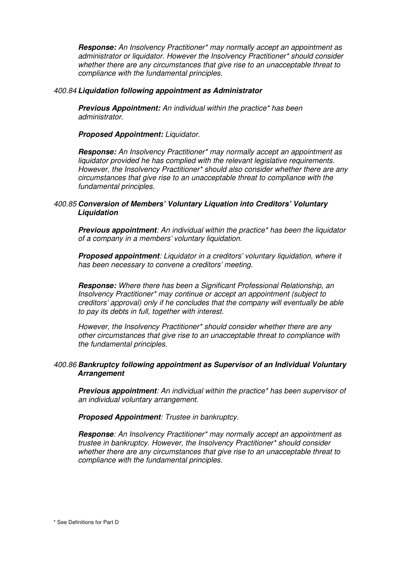**Response:** An Insolvency Practitioner\* may normally accept an appointment as administrator or liquidator. However the Insolvency Practitioner\* should consider whether there are any circumstances that give rise to an unacceptable threat to compliance with the fundamental principles.

#### 400.84 **Liquidation following appointment as Administrator**

**Previous Appointment:** An individual within the practice\* has been administrator.

**Proposed Appointment:** Liquidator.

**Response:** An Insolvency Practitioner\* may normally accept an appointment as liquidator provided he has complied with the relevant legislative requirements. However, the Insolvency Practitioner\* should also consider whether there are any circumstances that give rise to an unacceptable threat to compliance with the fundamental principles.

#### 400.85 **Conversion of Members' Voluntary Liquation into Creditors' Voluntary Liquidation**

**Previous appointment:** An individual within the practice\* has been the liquidator of a company in a members' voluntary liquidation.

**Proposed appointment**: Liquidator in a creditors' voluntary liquidation, where it has been necessary to convene a creditors' meeting.

**Response:** Where there has been a Significant Professional Relationship, an Insolvency Practitioner\* may continue or accept an appointment (subject to creditors' approval) only if he concludes that the company will eventually be able to pay its debts in full, together with interest.

However, the Insolvency Practitioner\* should consider whether there are any other circumstances that give rise to an unacceptable threat to compliance with the fundamental principles.

#### 400.86 **Bankruptcy following appointment as Supervisor of an Individual Voluntary Arrangement**

**Previous appointment:** An individual within the practice\* has been supervisor of an individual voluntary arrangement.

**Proposed Appointment**: Trustee in bankruptcy.

**Response**: An Insolvency Practitioner\* may normally accept an appointment as trustee in bankruptcy. However, the Insolvency Practitioner\* should consider whether there are any circumstances that give rise to an unacceptable threat to compliance with the fundamental principles.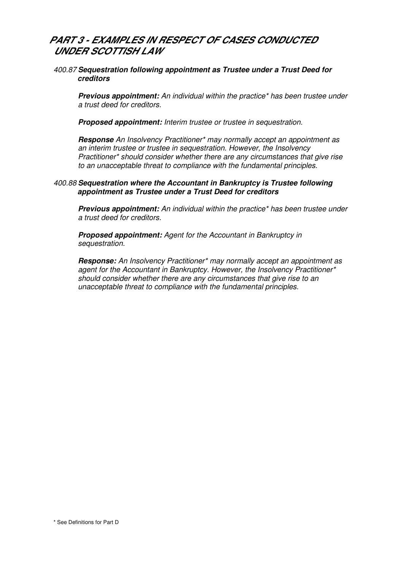## **PART 3 - EXAMPLES IN RESPECT OF CASES CONDUCTED UNDER SCOTTISH LAW**

400.87 **Sequestration following appointment as Trustee under a Trust Deed for creditors** 

**Previous appointment:** An individual within the practice<sup>\*</sup> has been trustee under a trust deed for creditors.

**Proposed appointment:** Interim trustee or trustee in sequestration.

**Response** An Insolvency Practitioner\* may normally accept an appointment as an interim trustee or trustee in sequestration. However, the Insolvency Practitioner\* should consider whether there are any circumstances that give rise to an unacceptable threat to compliance with the fundamental principles.

#### 400.88 **Sequestration where the Accountant in Bankruptcy is Trustee following appointment as Trustee under a Trust Deed for creditors**

**Previous appointment:** An individual within the practice\* has been trustee under a trust deed for creditors.

**Proposed appointment:** Agent for the Accountant in Bankruptcy in sequestration.

**Response:** An Insolvency Practitioner\* may normally accept an appointment as agent for the Accountant in Bankruptcy. However, the Insolvency Practitioner\* should consider whether there are any circumstances that give rise to an unacceptable threat to compliance with the fundamental principles.